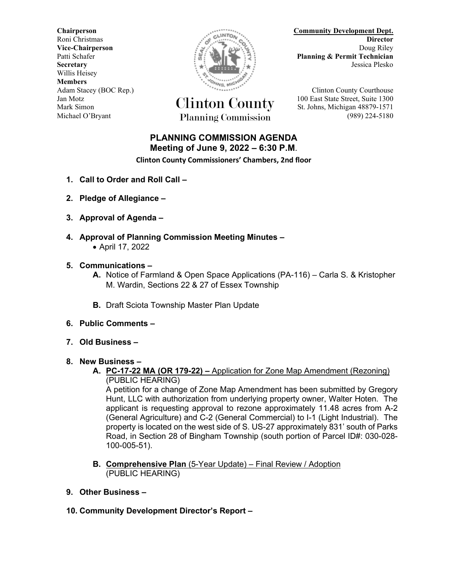Willis Heisey **Members**



Jan Motz Clinton County 100 East State Street, Suite 1300 Mark Simon St. Johns, Michigan 48879-1571 Michael O'Bryant Planning Commission (989) 224-5180

**Chairperson Community Development Dept.** Roni Christmas **Director Vice-Chairperson** Doug Riley **Doug Riley** Patti Schafer<br> **Planning & Permit Technician**<br>
Jessica Plesko<br>
Jessica Plesko **Secretary** Jessica Plesko

Adam Stacey (BOC Rep.) **Clinton County Courthouse** 

## **PLANNING COMMISSION AGENDA Meeting of June 9, 2022 – 6:30 P.M**.

**Clinton County Commissioners' Chambers, 2nd floor**

- **1. Call to Order and Roll Call –**
- **2. Pledge of Allegiance –**
- **3. Approval of Agenda –**
- **4. Approval of Planning Commission Meeting Minutes –** • April 17, 2022
- **5. Communications –**
	- **A.** Notice of Farmland & Open Space Applications (PA-116) Carla S. & Kristopher M. Wardin, Sections 22 & 27 of Essex Township
	- **B.** Draft Sciota Township Master Plan Update
- **6. Public Comments –**
- **7. Old Business –**
- **8. New Business –**
	- **A. PC-17-22 MA (OR 179-22) –** Application for Zone Map Amendment (Rezoning) (PUBLIC HEARING)

A petition for a change of Zone Map Amendment has been submitted by Gregory Hunt, LLC with authorization from underlying property owner, Walter Hoten. The applicant is requesting approval to rezone approximately 11.48 acres from A-2 (General Agriculture) and C-2 (General Commercial) to I-1 (Light Industrial). The property is located on the west side of S. US-27 approximately 831' south of Parks Road, in Section 28 of Bingham Township (south portion of Parcel ID#: 030-028- 100-005-51).

- **B. Comprehensive Plan** (5-Year Update) Final Review / Adoption (PUBLIC HEARING)
- **9. Other Business –**
- **10. Community Development Director's Report –**